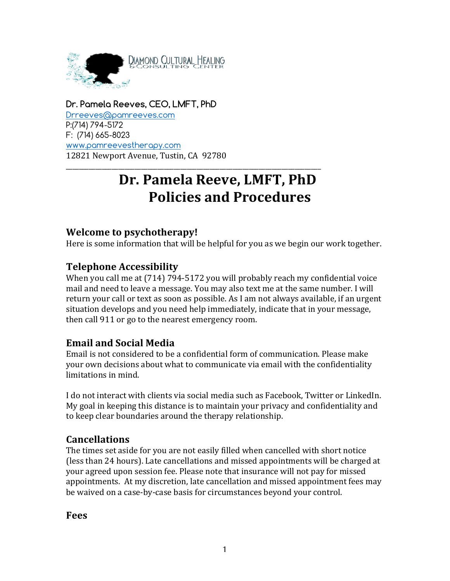

# **Dr. Pamela Reeves, CEO, LMFT, PhD**

Drreeves@pamreeves.com P:(714) 794-5172 F: (714) 665-8023 www.pamreevestherapy.com 12821 Newport Avenue, Tustin, CA 92780

# Dr. Pamela Reeve, LMFT, PhD **Policies and Procedures**

\_\_\_\_\_\_\_\_\_\_\_\_\_\_\_\_\_\_\_\_\_\_\_\_\_\_\_\_\_\_\_\_\_\_\_\_\_\_\_\_\_\_\_\_\_\_\_\_\_\_\_\_\_\_\_\_\_\_\_\_\_\_\_\_\_\_\_\_\_\_\_\_\_\_\_\_\_\_

## **Welcome to psychotherapy!**

Here is some information that will be helpful for you as we begin our work together.

## **Telephone Accessibility**

When you call me at  $(714)$  794-5172 you will probably reach my confidential voice mail and need to leave a message. You may also text me at the same number. I will return your call or text as soon as possible. As I am not always available, if an urgent situation develops and you need help immediately, indicate that in your message, then call 911 or go to the nearest emergency room.

# **Email and Social Media**

Email is not considered to be a confidential form of communication. Please make your own decisions about what to communicate via email with the confidentiality limitations in mind.

I do not interact with clients via social media such as Facebook, Twitter or LinkedIn. My goal in keeping this distance is to maintain your privacy and confidentiality and to keep clear boundaries around the therapy relationship.

## **Cancellations**

The times set aside for you are not easily filled when cancelled with short notice (less than 24 hours). Late cancellations and missed appointments will be charged at your agreed upon session fee. Please note that insurance will not pay for missed appointments. At my discretion, late cancellation and missed appointment fees may be waived on a case-by-case basis for circumstances beyond your control.

**Fees**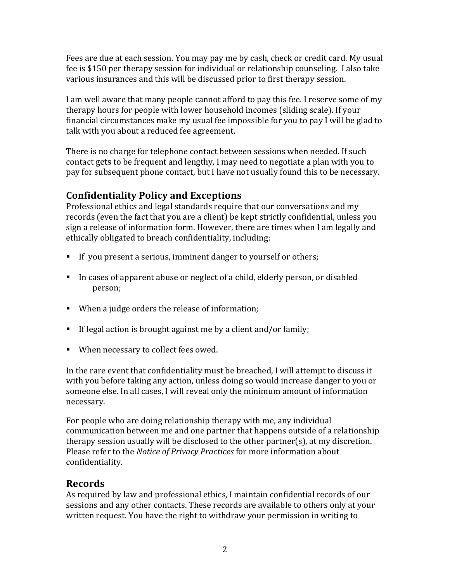Fees are due at each session. You may pay me by cash, check or credit card. My usual fee is \$150 per therapy session for individual or relationship counseling. I also take various insurances and this will be discussed prior to first therapy session.

I am well aware that many people cannot afford to pay this fee. I reserve some of my therapy hours for people with lower household incomes (sliding scale). If your financial circumstances make my usual fee impossible for you to pay I will be glad to talk with you about a reduced fee agreement.

There is no charge for telephone contact between sessions when needed. If such contact gets to be frequent and lengthy, I may need to negotiate a plan with you to pay for subsequent phone contact, but I have not usually found this to be necessary.

# **Confidentiality Policy and Exceptions**

Professional ethics and legal standards require that our conversations and my records (even the fact that you are a client) be kept strictly confidential, unless you sign a release of information form. However, there are times when I am legally and ethically obligated to breach confidentiality, including:

- If you present a serious, imminent danger to yourself or others;
- In cases of apparent abuse or neglect of a child, elderly person, or disabled person;
- When a judge orders the release of information;
- **F** If legal action is brought against me by a client and/or family;
- When necessary to collect fees owed.

In the rare event that confidentiality must be breached, I will attempt to discuss it with you before taking any action, unless doing so would increase danger to you or someone else. In all cases, I will reveal only the minimum amount of information necessary. 

For people who are doing relationship therapy with me, any individual communication between me and one partner that happens outside of a relationship therapy session usually will be disclosed to the other partner(s), at my discretion. Please refer to the *Notice of Privacy Practices* for more information about confidentiality. 

# **Records**

As required by law and professional ethics, I maintain confidential records of our sessions and any other contacts. These records are available to others only at your written request. You have the right to withdraw your permission in writing to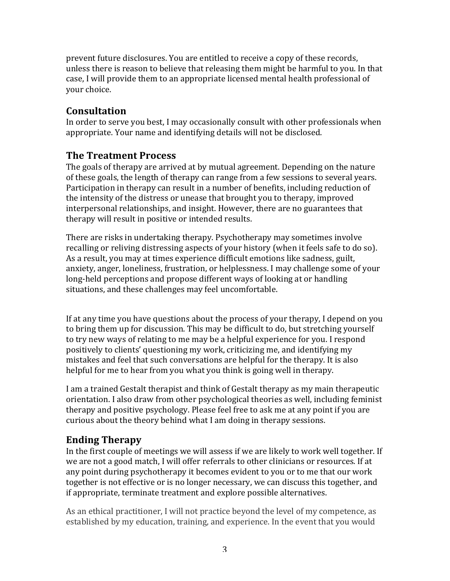prevent future disclosures. You are entitled to receive a copy of these records, unless there is reason to believe that releasing them might be harmful to you. In that case, I will provide them to an appropriate licensed mental health professional of vour choice.

## **Consultation**

In order to serve you best, I may occasionally consult with other professionals when appropriate. Your name and identifying details will not be disclosed.

## **The Treatment Process**

The goals of therapy are arrived at by mutual agreement. Depending on the nature of these goals, the length of therapy can range from a few sessions to several years. Participation in therapy can result in a number of benefits, including reduction of the intensity of the distress or unease that brought you to therapy, improved interpersonal relationships, and insight. However, there are no guarantees that therapy will result in positive or intended results.

There are risks in undertaking therapy. Psychotherapy may sometimes involve recalling or reliving distressing aspects of your history (when it feels safe to do so). As a result, you may at times experience difficult emotions like sadness, guilt, anxiety, anger, loneliness, frustration, or helplessness. I may challenge some of your long-held perceptions and propose different ways of looking at or handling situations, and these challenges may feel uncomfortable.

If at any time you have questions about the process of your therapy, I depend on you to bring them up for discussion. This may be difficult to do, but stretching yourself to try new ways of relating to me may be a helpful experience for you. I respond positively to clients' questioning my work, criticizing me, and identifying my mistakes and feel that such conversations are helpful for the therapy. It is also helpful for me to hear from you what you think is going well in therapy.

I am a trained Gestalt therapist and think of Gestalt therapy as my main therapeutic orientation. I also draw from other psychological theories as well, including feminist therapy and positive psychology. Please feel free to ask me at any point if you are curious about the theory behind what I am doing in therapy sessions.

# **Ending Therapy**

In the first couple of meetings we will assess if we are likely to work well together. If we are not a good match, I will offer referrals to other clinicians or resources. If at any point during psychotherapy it becomes evident to you or to me that our work together is not effective or is no longer necessary, we can discuss this together, and if appropriate, terminate treatment and explore possible alternatives.

As an ethical practitioner, I will not practice beyond the level of my competence, as established by my education, training, and experience. In the event that you would